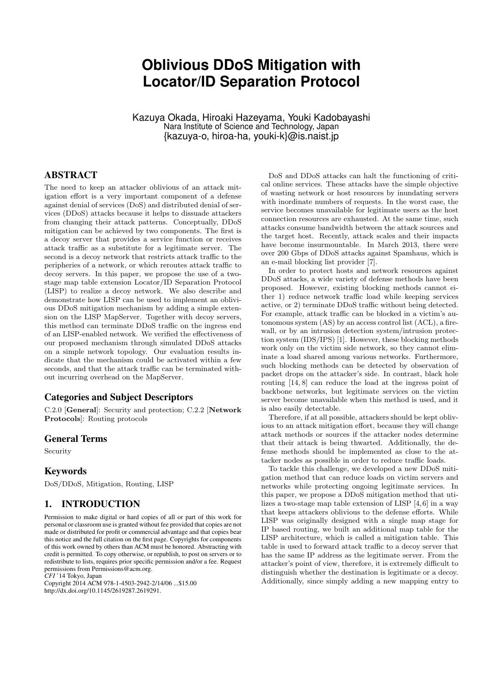# **Oblivious DDoS Mitigation with Locator/ID Separation Protocol**

Kazuya Okada, Hiroaki Hazeyama, Youki Kadobayashi Nara Institute of Science and Technology, Japan {kazuya-o, hiroa-ha, youki-k}@is.naist.jp

# ABSTRACT

The need to keep an attacker oblivious of an attack mitigation effort is a very important component of a defense against denial of services (DoS) and distributed denial of services (DDoS) attacks because it helps to dissuade attackers from changing their attack patterns. Conceptually, DDoS mitigation can be achieved by two components. The first is a decoy server that provides a service function or receives attack traffic as a substitute for a legitimate server. The second is a decoy network that restricts attack traffic to the peripheries of a network, or which reroutes attack traffic to decoy servers. In this paper, we propose the use of a twostage map table extension Locator/ID Separation Protocol (LISP) to realize a decoy network. We also describe and demonstrate how LISP can be used to implement an oblivious DDoS mitigation mechanism by adding a simple extension on the LISP MapServer. Together with decoy servers, this method can terminate DDoS traffic on the ingress end of an LISP-enabled network. We verified the effectiveness of our proposed mechanism through simulated DDoS attacks on a simple network topology. Our evaluation results indicate that the mechanism could be activated within a few seconds, and that the attack traffic can be terminated without incurring overhead on the MapServer.

## Categories and Subject Descriptors

C.2.0 [**General**]: Security and protection; C.2.2 [**Network Protocols**]: Routing protocols

## General Terms

Security

#### Keywords

DoS/DDoS, Mitigation, Routing, LISP

# 1. INTRODUCTION

Permission to make digital or hard copies of all or part of this work for personal or classroom use is granted without fee provided that copies are not made or distributed for profit or commercial advantage and that copies bear this notice and the full citation on the first page. Copyrights for components of this work owned by others than ACM must be honored. Abstracting with credit is permitted. To copy otherwise, or republish, to post on servers or to redistribute to lists, requires prior specific permission and/or a fee. Request permissions from Permissions@acm.org.

*CFI* '14 Tokyo, Japan

Copyright 2014 ACM 978-1-4503-2942-2/14/06 ...\$15.00 http://dx.doi.org/10.1145/2619287.2619291.

DoS and DDoS attacks can halt the functioning of critical online services. These attacks have the simple objective of wasting network or host resources by inundating servers with inordinate numbers of requests. In the worst case, the service becomes unavailable for legitimate users as the host connection resources are exhausted. At the same time, such attacks consume bandwidth between the attack sources and the target host. Recently, attack scales and their impacts have become insurmountable. In March 2013, there were over 200 Gbps of DDoS attacks against Spamhaus, which is an e-mail blocking list provider [7].

In order to protect hosts and network resources against DDoS attacks, a wide variety of defense methods have been proposed. However, existing blocking methods cannot either 1) reduce network traffic load while keeping services active, or 2) terminate DDoS traffic without being detected. For example, attack traffic can be blocked in a victim's autonomous system (AS) by an access control list (ACL), a firewall, or by an intrusion detection system/intrusion protection system (IDS/IPS) [1]. However, these blocking methods work only on the victim side network, so they cannot eliminate a load shared among various networks. Furthermore, such blocking methods can be detected by observation of packet drops on the attacker's side. In contrast, black hole routing [14, 8] can reduce the load at the ingress point of backbone networks, but legitimate services on the victim server become unavailable when this method is used, and it is also easily detectable.

Therefore, if at all possible, attackers should be kept oblivious to an attack mitigation effort, because they will change attack methods or sources if the attacker nodes determine that their attack is being thwarted. Additionally, the defense methods should be implemented as close to the attacker nodes as possible in order to reduce traffic loads.

To tackle this challenge, we developed a new DDoS mitigation method that can reduce loads on victim servers and networks while protecting ongoing legitimate services. In this paper, we propose a DDoS mitigation method that utilizes a two-stage map table extension of LISP [4, 6] in a way that keeps attackers oblivious to the defense efforts. While LISP was originally designed with a single map stage for IP based routing, we built an additional map table for the LISP architecture, which is called a mitigation table. This table is used to forward attack traffic to a decoy server that has the same IP address as the legitimate server. From the attacker's point of view, therefore, it is extremely difficult to distinguish whether the destination is legitimate or a decoy. Additionally, since simply adding a new mapping entry to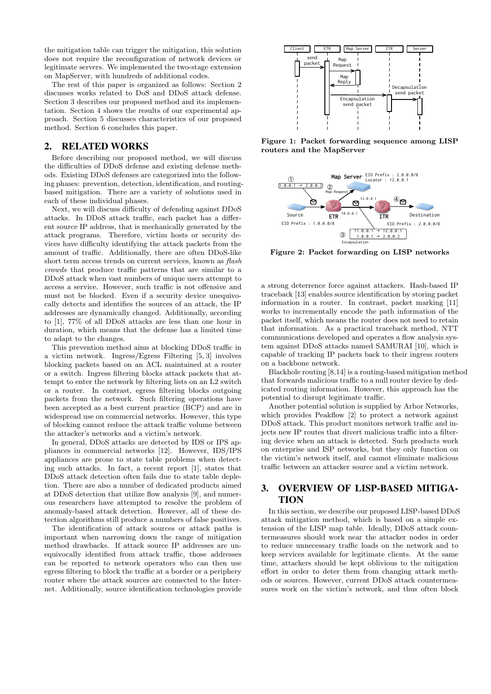the mitigation table can trigger the mitigation, this solution does not require the reconfiguration of network devices or legitimate servers. We implemented the two-stage extension on MapServer, with hundreds of additional codes.

The rest of this paper is organized as follows: Section 2 discusses works related to DoS and DDoS attack defense. Section 3 describes our proposed method and its implementation. Section 4 shows the results of our experimental approach. Section 5 discusses characteristics of our proposed method. Section 6 concludes this paper.

## 2. RELATED WORKS

Before describing our proposed method, we will discuss the difficulties of DDoS defense and existing defense methods. Existing DDoS defenses are categorized into the following phases: prevention, detection, identification, and routingbased mitigation. There are a variety of solutions used in each of these individual phases.

Next, we will discuss difficulty of defending against DDoS attacks. In DDoS attack traffic, each packet has a different source IP address, that is mechanically generated by the attack programs. Therefore, victim hosts or security devices have difficulty identifying the attack packets from the amount of traffic. Additionally, there are often DDoS-like short term access trends on current services, known as *flash crowds* that produce traffic patterns that are similar to a DDoS attack when vast numbers of unique users attempt to access a service. However, such traffic is not offensive and must not be blocked. Even if a security device unequivocally detects and identifies the sources of an attack, the IP addresses are dynamically changed. Additionally, according to [1], 77% of all DDoS attacks are less than one hour in duration, which means that the defense has a limited time to adapt to the changes. The main of the source identification of the solution of the source in the source in the source in the source in the source in the source in the source in the source in the source in the source in the source in the source

This prevention method aims at blocking DDoS traffic in a victim network. Ingress/Egress Filtering [5, 3] involves blocking packets based on an ACL maintained at a router or a switch. Ingress filtering blocks attack packets that attempt to enter the network by filtering lists on an L2 switch or a router. In contrast, egress filtering blocks outgoing packets from the network. Such filtering operations have been accepted as a best current practice (BCP) and are in widespread use on commercial networks. However, this type of blocking cannot reduce the attack traffic volume between the attacker's networks and a victim's network.

In general, DDoS attacks are detected by IDS or IPS appliances in commercial networks [12]. However, IDS/IPS appliances are prone to state table problems when detecting such attacks. In fact, a recent report [1], states that DDoS attack detection often fails due to state table depletion. There are also a number of dedicated products aimed at DDoS detection that utilize flow analysis [9], and numerous researchers have attempted to resolve the problem of anomaly-based attack detection. However, all of these detection algorithms still produce a numbers of false positives.

The identification of attack sources or attack paths is important when narrowing down the range of mitigation method drawbacks. If attack source IP addresses are unequivocally identified from attack traffic, those addresses can be reported to network operators who can then use egress filtering to block the traffic at a border or a periphery router where the attack sources are connected to the Inter-



**Figure 1: Packet forwarding sequence among LISP routers and the MapServer**



**Figure 2: Packet forwarding on LISP networks**

a strong deterrence force against attackers. Hash-based IP traceback [13] enables source identification by storing packet information in a router. In contrast, packet marking [11] works to incrementally encode the path information of the packet itself, which means the router does not need to retain that information. As a practical traceback method, NTT communications developed and operates a flow analysis system against DDoS attacks named SAMURAI [10], which is capable of tracking IP packets back to their ingress routers on a backbone network.

Blackhole routing [8,14] is a routing-based mitigation method that forwards malicious traffic to a null router device by dedicated routing information. However, this approach has the potential to disrupt legitimate traffic.

Another potential solution is supplied by Arbor Networks, which provides Peakflow [2] to protect a network against DDoS attack. This product monitors network traffic and injects new IP routes that divert malicious traffic into a filtering device when an attack is detected. Such products work on enterprise and ISP networks, but they only function on the victim's network itself, and cannot eliminate malicious traffic between an attacker source and a victim network.

# 3. OVERVIEW OF LISP-BASED MITIGA-**TION**

In this section, we describe our proposed LISP-based DDoS attack mitigation method, which is based on a simple extension of the LISP map table. Ideally, DDoS attack countermeasures should work near the attacker nodes in order to reduce unnecessary traffic loads on the network and to keep services available for legitimate clients. At the same time, attackers should be kept oblivious to the mitigation effort in order to deter them from changing attack methods or sources. However, current DDoS attack countermeasures work on the victim's network, and thus often block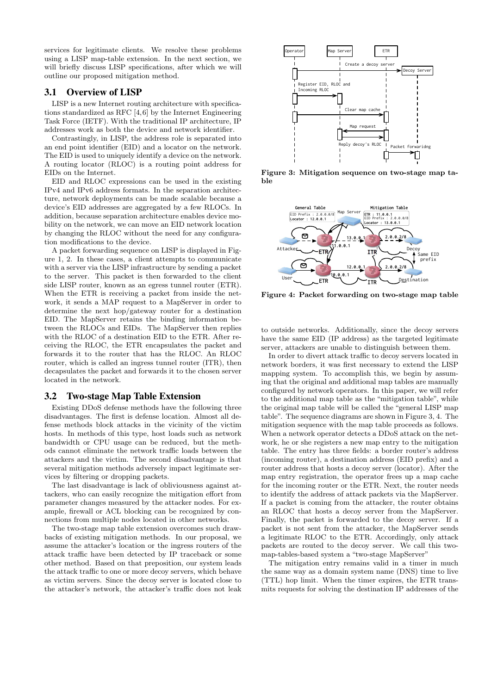services for legitimate clients. We resolve these problems using a LISP map-table extension. In the next section, we will briefly discuss LISP specifications, after which we will outline our proposed mitigation method.

## 3.1 Overview of LISP

LISP is a new Internet routing architecture with specifications standardized as RFC [4,6] by the Internet Engineering Task Force (IETF). With the traditional IP architecture, IP addresses work as both the device and network identifier.

Contrastingly, in LISP, the address role is separated into an end point identifier (EID) and a locator on the network. The EID is used to uniquely identify a device on the network. A routing locator (RLOC) is a routing point address for EIDs on the Internet.

EID and RLOC expressions can be used in the existing IPv4 and IPv6 address formats. In the separation architecture, network deployments can be made scalable because a device's EID addresses are aggregated by a few RLOCs. In addition, because separation architecture enables device mobility on the network, we can move an EID network location by changing the RLOC without the need for any configuration modifications to the device.

A packet forwarding sequence on LISP is displayed in Figure 1, 2. In these cases, a client attempts to communicate with a server via the LISP infrastructure by sending a packet to the server. This packet is then forwarded to the client side LISP router, known as an egress tunnel router (ETR). When the ETR is receiving a packet from inside the network, it sends a MAP request to a MapServer in order to determine the next hop/gateway router for a destination EID. The MapServer retains the binding information between the RLOCs and EIDs. The MapServer then replies with the RLOC of a destination EID to the ETR. After receiving the RLOC, the ETR encapsulates the packet and forwards it to the router that has the RLOC. An RLOC router, which is called an ingress tunnel router (ITR), then decapsulates the packet and forwards it to the chosen server located in the network.

#### 3.2 Two-stage Map Table Extension

Existing DDoS defense methods have the following three disadvantages. The first is defense location. Almost all defense methods block attacks in the vicinity of the victim hosts. In methods of this type, host loads such as network bandwidth or CPU usage can be reduced, but the methods cannot eliminate the network traffic loads between the attackers and the victim. The second disadvantage is that several mitigation methods adversely impact legitimate services by filtering or dropping packets.

The last disadvantage is lack of obliviousness against attackers, who can easily recognize the mitigation effort from parameter changes measured by the attacker nodes. For example, firewall or ACL blocking can be recognized by connections from multiple nodes located in other networks.

The two-stage map table extension overcomes such drawbacks of existing mitigation methods. In our proposal, we assume the attacker's location or the ingress routers of the attack traffic have been detected by IP traceback or some other method. Based on that preposition, our system leads the attack traffic to one or more decoy servers, which behave as victim servers. Since the decoy server is located close to the attacker's network, the attacker's traffic does not leak



**Figure 3: Mitigation sequence on two-stage map table**



**Figure 4: Packet forwarding on two-stage map table**

to outside networks. Additionally, since the decoy servers have the same EID (IP address) as the targeted legitimate server, attackers are unable to distinguish between them.

In order to divert attack traffic to decoy servers located in network borders, it was first necessary to extend the LISP mapping system. To accomplish this, we begin by assuming that the original and additional map tables are manually configured by network operators. In this paper, we will refer to the additional map table as the "mitigation table", while the original map table will be called the "general LISP map table". The sequence diagrams are shown in Figure 3, 4. The mitigation sequence with the map table proceeds as follows. When a network operator detects a DDoS attack on the network, he or she registers a new map entry to the mitigation table. The entry has three fields: a border router's address (incoming router), a destination address (EID prefix) and a router address that hosts a decoy server (locator). After the map entry registration, the operator frees up a map cache for the incoming router or the ETR. Next, the router needs to identify the address of attack packets via the MapServer. If a packet is coming from the attacker, the router obtains an RLOC that hosts a decoy server from the MapServer. Finally, the packet is forwarded to the decoy server. If a packet is not sent from the attacker, the MapServer sends a legitimate RLOC to the ETR. Accordingly, only attack packets are routed to the decoy server. We call this twomap-tables-based system a "two-stage MapServer"

The mitigation entry remains valid in a timer in much the same way as a domain system name (DNS) time to live (TTL) hop limit. When the timer expires, the ETR transmits requests for solving the destination IP addresses of the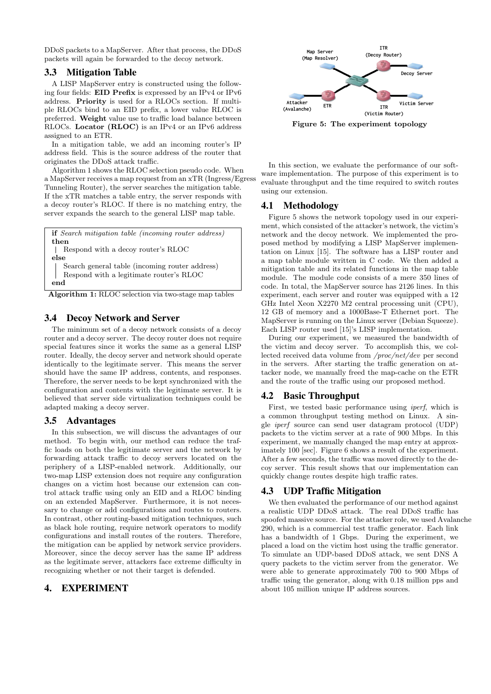DDoS packets to a MapServer. After that process, the DDoS packets will again be forwarded to the decoy network.

# 3.3 Mitigation Table

A LISP MapServer entry is constructed using the following four fields: **EID Prefix** is expressed by an IPv4 or IPv6 address. **Priority** is used for a RLOCs section. If multiple RLOCs bind to an EID prefix, a lower value RLOC is preferred. **Weight** value use to traffic load balance between RLOCs. **Locator (RLOC)** is an IPv4 or an IPv6 address assigned to an ETR.

In a mitigation table, we add an incoming router's IP address field. This is the source address of the router that originates the DDoS attack traffic.

Algorithm 1 shows the RLOC selection pseudo code. When a MapServer receives a map request from an xTR (Ingress/Egress Tunneling Router), the server searches the mitigation table. If the xTR matches a table entry, the server responds with a decoy router's RLOC. If there is no matching entry, the server expands the search to the general LISP map table.

**if** *Search mitigation table (incoming router address)* **then** Respond with a decoy router's RLOC  $\overline{\phantom{a}}$ **else** Search general table (incoming router address)

Respond with a legitimate router's RLOC **end**

**Algorithm 1:** RLOC selection via two-stage map tables

# 3.4 Decoy Network and Server

The minimum set of a decoy network consists of a decoy router and a decoy server. The decoy router does not require special features since it works the same as a general LISP router. Ideally, the decoy server and network should operate identically to the legitimate server. This means the server should have the same IP address, contents, and responses. Therefore, the server needs to be kept synchronized with the configuration and contents with the legitimate server. It is believed that server side virtualization techniques could be adapted making a decoy server.

# 3.5 Advantages

In this subsection, we will discuss the advantages of our method. To begin with, our method can reduce the traffic loads on both the legitimate server and the network by forwarding attack traffic to decoy servers located on the periphery of a LISP-enabled network. Additionally, our two-map LISP extension does not require any configuration changes on a victim host because our extension can control attack traffic using only an EID and a RLOC binding on an extended MapServer. Furthermore, it is not necessary to change or add configurations and routes to routers. In contrast, other routing-based mitigation techniques, such as black hole routing, require network operators to modify configurations and install routes of the routers. Therefore, the mitigation can be applied by network service providers. Moreover, since the decoy server has the same IP address as the legitimate server, attackers face extreme difficulty in recognizing whether or not their target is defended.

# 4. EXPERIMENT



In this section, we evaluate the performance of our software implementation. The purpose of this experiment is to evaluate throughput and the time required to switch routes using our extension.

# 4.1 Methodology

Figure 5 shows the network topology used in our experiment, which consisted of the attacker's network, the victim's network and the decoy network. We implemented the proposed method by modifying a LISP MapServer implementation on Linux [15]. The software has a LISP router and a map table module written in C code. We then added a mitigation table and its related functions in the map table module. The module code consists of a mere 350 lines of code. In total, the MapServer source has 2126 lines. In this experiment, each server and router was equipped with a 12 GHz Intel Xeon X2270 M2 central processing unit (CPU), 12 GB of memory and a 1000Base-T Ethernet port. The MapServer is running on the Linux server (Debian Squeeze). Each LISP router used [15]'s LISP implementation.

During our experiment, we measured the bandwidth of the victim and decoy server. To accomplish this, we collected received data volume from */proc/net/dev* per second in the servers. After starting the traffic generation on attacker node, we manually freed the map-cache on the ETR and the route of the traffic using our proposed method.

# 4.2 Basic Throughput

First, we tested basic performance using *iperf*, which is a common throughput testing method on Linux. A single *iperf* source can send user datagram protocol (UDP) packets to the victim server at a rate of 900 Mbps. In this experiment, we manually changed the map entry at approximately 100 [sec]. Figure 6 shows a result of the experiment. After a few seconds, the traffic was moved directly to the decoy server. This result shows that our implementation can quickly change routes despite high traffic rates.

# 4.3 UDP Traffic Mitigation

We then evaluated the performance of our method against a realistic UDP DDoS attack. The real DDoS traffic has spoofed massive source. For the attacker role, we used Avalanche 290, which is a commercial test traffic generator. Each link has a bandwidth of 1 Gbps. During the experiment, we placed a load on the victim host using the traffic generator. To simulate an UDP-based DDoS attack, we sent DNS A query packets to the victim server from the generator. We were able to generate approximately 700 to 900 Mbps of traffic using the generator, along with 0.18 million pps and about 105 million unique IP address sources.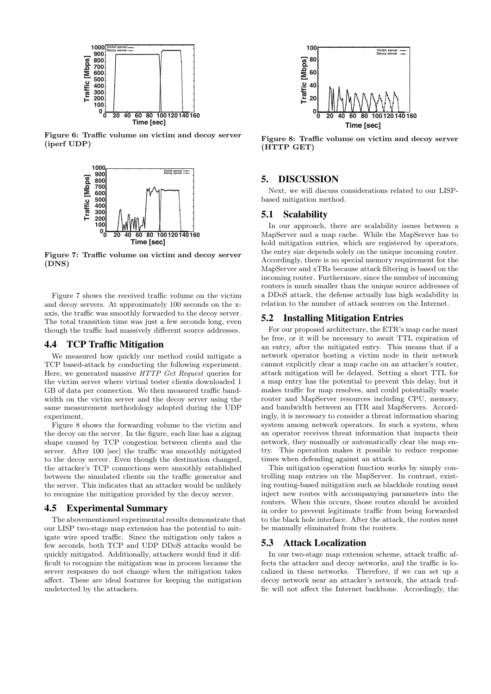

**Figure 6: Traffic volume on victim and decoy server (iperf UDP)**



**Figure 7: Traffic volume on victim and decoy server (DNS)**

Figure 7 shows the received traffic volume on the victim and decoy servers. At approximately 100 seconds on the xaxis, the traffic was smoothly forwarded to the decoy server. The total transition time was just a few seconds long, even though the traffic had massively different source addresses.

#### 4.4 TCP Traffic Mitigation

We measured how quickly our method could mitigate a TCP based-attack by conducting the following experiment. Here, we generated massive *HTTP Get Request* queries for the victim server where virtual tester clients downloaded 1 GB of data per connection. We then measured traffic bandwidth on the victim server and the decoy server using the same measurement methodology adopted during the UDP experiment.

Figure 8 shows the forwarding volume to the victim and the decoy on the server. In the figure, each line has a zigzag shape caused by TCP congestion between clients and the server. After 100 [sec] the traffic was smoothly mitigated to the decoy server. Even though the destination changed, the attacker's TCP connections were smoothly established between the simulated clients on the traffic generator and the server. This indicates that an attacker would be unlikely to recognize the mitigation provided by the decoy server.

#### 4.5 Experimental Summary

The abovementioned experimental results demonstrate that our LISP two-stage map extension has the potential to mitigate wire speed traffic. Since the mitigation only takes a few seconds, both TCP and UDP DDoS attacks would be quickly mitigated. Additionally, attackers would find it difficult to recognize the mitigation was in process because the server responses do not change when the mitigation takes affect. These are ideal features for keeping the mitigation undetected by the attackers.



**Figure 8: Traffic volume on victim and decoy server (HTTP GET)**

## 5. DISCUSSION

Next, we will discuss considerations related to our LISPbased mitigation method.

#### 5.1 Scalability

In our approach, there are scalability issues between a MapServer and a map cache. While the MapServer has to hold mitigation entries, which are registered by operators. the entry size depends solely on the unique incoming router. Accordingly, there is no special memory requirement for the MapServer and xTRs because attack filtering is based on the incoming router. Furthermore, since the number of incoming routers is much smaller than the unique source addresses of a DDoS attack, the defense actually has high scalability in relation to the number of attack sources on the Internet.

#### 5.2 Installing Mitigation Entries

For our proposed architecture, the ETR's map cache must be free, or it will be necessary to await TTL expiration of an entry, after the mitigated entry. This means that if a network operator hosting a victim node in their network cannot explicitly clear a map cache on an attacker's router, attack mitigation will be delayed. Setting a short TTL for a map entry has the potential to prevent this delay, but it makes traffic for map resolves, and could potentially waste router and MapServer resources including CPU, memory, and bandwidth between an ITR and MapServers. Accordingly, it is necessary to consider a threat information sharing system among network operators. In such a system, when an operator receives threat information that impacts their network, they manually or automatically clear the map entry. This operation makes it possible to reduce response times when defending against an attack.

This mitigation operation function works by simply controlling map entries on the MapServer. In contrast, existing routing-based mitigation such as blackhole routing must inject new routes with accompanying parameters into the routers. When this occurs, those routes should be avoided in order to prevent legitimate traffic from being forwarded to the black hole interface. After the attack, the routes must be manually eliminated from the routers.

#### 5.3 Attack Localization

In our two-stage map extension scheme, attack traffic affects the attacker and decoy networks, and the traffic is localized in these networks. Therefore, if we can set up a decoy network near an attacker's network, the attack traffic will not affect the Internet backbone. Accordingly, the